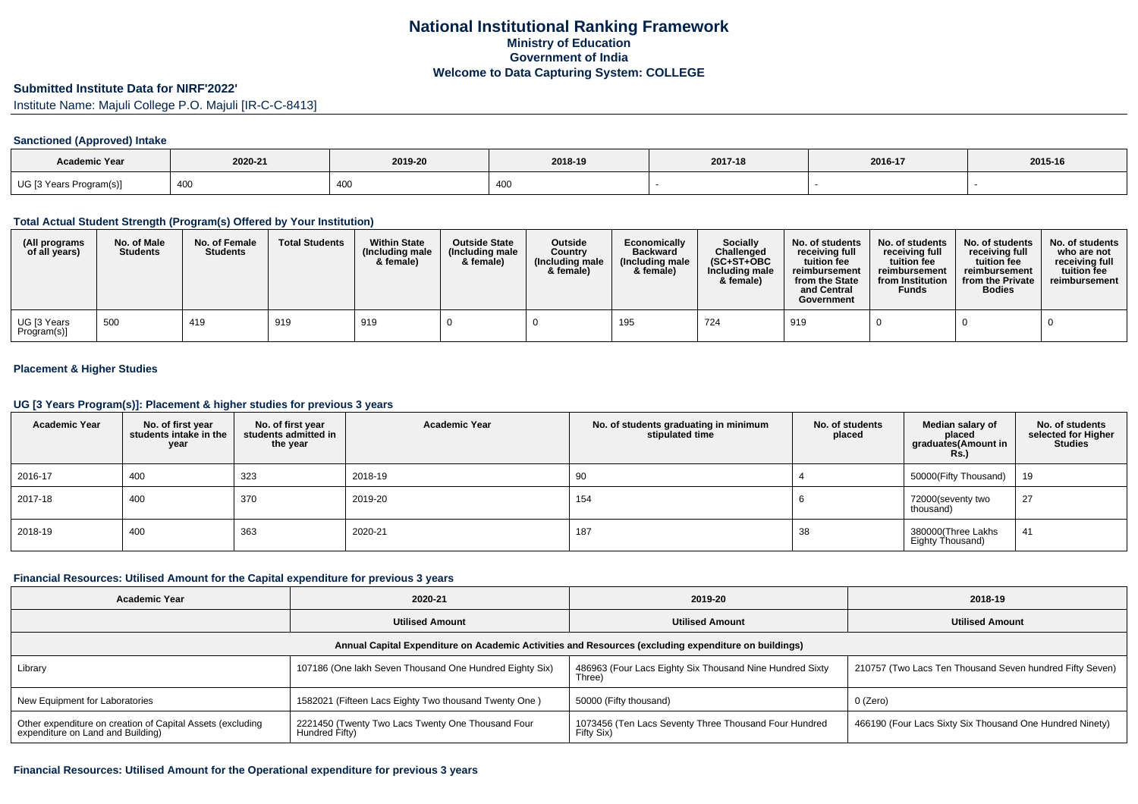### **Submitted Institute Data for NIRF'2022'**

Institute Name: Majuli College P.O. Majuli [IR-C-C-8413]

#### **Sanctioned (Approved) Intake**

| <b>Academic Year</b>    | 2020-21                  | 2019-20 | 2018-19 | 2017-18 | 2016-17 | 2015-16 |
|-------------------------|--------------------------|---------|---------|---------|---------|---------|
| UG [3 Years Program(s)] | 10 <sup>2</sup><br>400 K | 400     | 400     |         |         |         |

#### **Total Actual Student Strength (Program(s) Offered by Your Institution)**

| (All programs<br>of all years)          | No. of Male<br><b>Students</b> | No. of Female<br><b>Students</b> | <b>Total Students</b> | <b>Within State</b><br>(Including male<br>& female) | <b>Outside State</b><br>(Including male<br>& female) | <b>Outside</b><br>Country<br>(Including male<br>& female) | Economically<br><b>Backward</b><br>(Including male<br>& female) | <b>Socially</b><br>Challenged<br>$(SC+ST+OBC)$<br>Including male<br>& female) | No. of students<br>receiving full<br>tuition fee<br>reimbursement<br>from the State<br>and Central<br>Government | No. of students<br>receiving full<br>tuition fee<br>reimbursement<br>from Institution<br>Funds | No. of students<br>receiving full<br>tuition fee<br>reimbursement<br>from the Private<br><b>Bodies</b> | No. of students<br>who are not<br>receiving full<br>tuition fee<br>reimbursement |
|-----------------------------------------|--------------------------------|----------------------------------|-----------------------|-----------------------------------------------------|------------------------------------------------------|-----------------------------------------------------------|-----------------------------------------------------------------|-------------------------------------------------------------------------------|------------------------------------------------------------------------------------------------------------------|------------------------------------------------------------------------------------------------|--------------------------------------------------------------------------------------------------------|----------------------------------------------------------------------------------|
| <sup>l</sup> UG [3 Years<br>Program(s)] | 500                            | 419                              | 919                   | 919                                                 |                                                      |                                                           | 195                                                             | 724                                                                           | 919                                                                                                              |                                                                                                |                                                                                                        |                                                                                  |

### **Placement & Higher Studies**

#### **UG [3 Years Program(s)]: Placement & higher studies for previous 3 years**

| <b>Academic Year</b> | No. of first year<br>students intake in the<br>year | No. of first year<br>students admitted in<br>the year | <b>Academic Year</b> | No. of students graduating in minimum<br>stipulated time | No. of students<br>placed | Median salary of<br>placed<br>graduates(Amount in<br><b>Rs.)</b> | No. of students<br>selected for Higher<br><b>Studies</b> |
|----------------------|-----------------------------------------------------|-------------------------------------------------------|----------------------|----------------------------------------------------------|---------------------------|------------------------------------------------------------------|----------------------------------------------------------|
| 2016-17              | 400                                                 | 323                                                   | 2018-19              | 90                                                       |                           | 50000(Fifty Thousand)                                            | 19                                                       |
| 2017-18              | 400                                                 | 370                                                   | 2019-20              | 154                                                      |                           | 72000(seventy two<br>thousand)                                   | 27                                                       |
| 2018-19              | 400                                                 | 363                                                   | 2020-21              | 187                                                      | 38                        | 380000(Three Lakhs<br>Eighty Thousand)                           | 41                                                       |

#### **Financial Resources: Utilised Amount for the Capital expenditure for previous 3 years**

| <b>Academic Year</b>                                                                                 | 2020-21                                                             | 2019-20                                                             | 2018-19                                                  |  |  |  |  |  |  |
|------------------------------------------------------------------------------------------------------|---------------------------------------------------------------------|---------------------------------------------------------------------|----------------------------------------------------------|--|--|--|--|--|--|
|                                                                                                      | <b>Utilised Amount</b>                                              | <b>Utilised Amount</b>                                              | <b>Utilised Amount</b>                                   |  |  |  |  |  |  |
| Annual Capital Expenditure on Academic Activities and Resources (excluding expenditure on buildings) |                                                                     |                                                                     |                                                          |  |  |  |  |  |  |
| Library                                                                                              | 107186 (One lakh Seven Thousand One Hundred Eighty Six)             | 486963 (Four Lacs Eighty Six Thousand Nine Hundred Sixty<br>Three)  | 210757 (Two Lacs Ten Thousand Seven hundred Fifty Seven) |  |  |  |  |  |  |
| New Equipment for Laboratories                                                                       | 1582021 (Fifteen Lacs Eighty Two thousand Twenty One)               | 50000 (Fifty thousand)                                              | 0 (Zero)                                                 |  |  |  |  |  |  |
| Other expenditure on creation of Capital Assets (excluding<br>expenditure on Land and Building)      | 2221450 (Twenty Two Lacs Twenty One Thousand Four<br>Hundred Fifty) | 1073456 (Ten Lacs Seventy Three Thousand Four Hundred<br>Fifty Six) | 466190 (Four Lacs Sixty Six Thousand One Hundred Ninety) |  |  |  |  |  |  |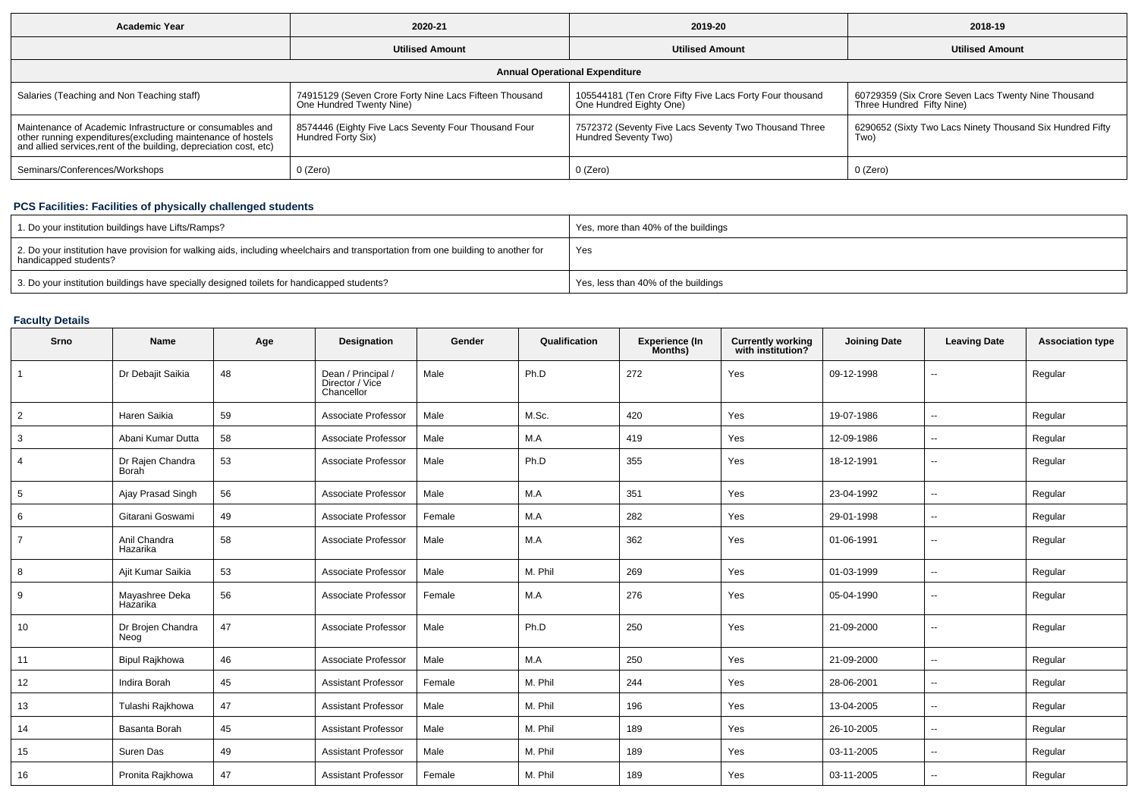| <b>Academic Year</b>                                                                                                                                                                           | 2020-21                                                                            | 2019-20                                                                             | 2018-19                                                                          |  |  |  |  |  |  |
|------------------------------------------------------------------------------------------------------------------------------------------------------------------------------------------------|------------------------------------------------------------------------------------|-------------------------------------------------------------------------------------|----------------------------------------------------------------------------------|--|--|--|--|--|--|
|                                                                                                                                                                                                | <b>Utilised Amount</b>                                                             | <b>Utilised Amount</b>                                                              | <b>Utilised Amount</b>                                                           |  |  |  |  |  |  |
| <b>Annual Operational Expenditure</b>                                                                                                                                                          |                                                                                    |                                                                                     |                                                                                  |  |  |  |  |  |  |
| Salaries (Teaching and Non Teaching staff)                                                                                                                                                     | 74915129 (Seven Crore Forty Nine Lacs Fifteen Thousand<br>One Hundred Twenty Nine) | 105544181 (Ten Crore Fifty Five Lacs Forty Four thousand<br>One Hundred Eighty One) | 60729359 (Six Crore Seven Lacs Twenty Nine Thousand<br>Three Hundred Fifty Nine) |  |  |  |  |  |  |
| Maintenance of Academic Infrastructure or consumables and<br>other running expenditures(excluding maintenance of hostels<br>and allied services, rent of the building, depreciation cost, etc) | 8574446 (Eighty Five Lacs Seventy Four Thousand Four<br>  Hundred Forty Six)       | 7572372 (Seventy Five Lacs Seventy Two Thousand Three<br>Hundred Seventy Two)       | 6290652 (Sixty Two Lacs Ninety Thousand Six Hundred Fifty<br>Two)                |  |  |  |  |  |  |
| Seminars/Conferences/Workshops                                                                                                                                                                 | 0 (Zero)                                                                           | 0 (Zero)                                                                            | 0 (Zero)                                                                         |  |  |  |  |  |  |

# **PCS Facilities: Facilities of physically challenged students**

| 1. Do your institution buildings have Lifts/Ramps?                                                                                                         | Yes, more than 40% of the buildings |
|------------------------------------------------------------------------------------------------------------------------------------------------------------|-------------------------------------|
| 2. Do your institution have provision for walking aids, including wheelchairs and transportation from one building to another for<br>handicapped students? | Yes                                 |
| 3. Do your institution buildings have specially designed toilets for handicapped students?                                                                 | Yes, less than 40% of the buildings |

# **Faculty Details**

| Srno           | Name                             | Age | <b>Designation</b>                                  | Gender | Qualification | <b>Experience (In</b><br>Months) | <b>Currently working</b><br>with institution? | <b>Joining Date</b> | <b>Leaving Date</b>      | <b>Association type</b> |
|----------------|----------------------------------|-----|-----------------------------------------------------|--------|---------------|----------------------------------|-----------------------------------------------|---------------------|--------------------------|-------------------------|
| $\mathbf{1}$   | Dr Debajit Saikia                | 48  | Dean / Principal /<br>Director / Vice<br>Chancellor | Male   | Ph.D          | 272                              | Yes                                           | 09-12-1998          | --                       | Regular                 |
| $\overline{2}$ | Haren Saikia                     | 59  | Associate Professor                                 | Male   | M.Sc.         | 420                              | Yes                                           | 19-07-1986          | $\sim$                   | Regular                 |
| 3              | Abani Kumar Dutta                | 58  | Associate Professor                                 | Male   | M.A           | 419                              | Yes                                           | 12-09-1986          | $\sim$                   | Regular                 |
| 4              | Dr Rajen Chandra<br><b>Borah</b> | 53  | Associate Professor                                 | Male   | Ph.D          | 355                              | Yes                                           | 18-12-1991          | $\sim$                   | Regular                 |
| 5              | Ajay Prasad Singh                | 56  | Associate Professor                                 | Male   | M.A           | 351                              | Yes                                           | 23-04-1992          | $\sim$                   | Regular                 |
| 6              | Gitarani Goswami                 | 49  | Associate Professor                                 | Female | M.A           | 282                              | Yes                                           | 29-01-1998          | $\sim$                   | Regular                 |
| $\overline{7}$ | Anil Chandra<br>Hazarika         | 58  | Associate Professor                                 | Male   | M.A           | 362                              | Yes                                           | 01-06-1991          | $\sim$                   | Regular                 |
| 8              | Ajit Kumar Saikia                | 53  | Associate Professor                                 | Male   | M. Phil       | 269                              | Yes                                           | 01-03-1999          | $\overline{\phantom{a}}$ | Regular                 |
| 9              | Mayashree Deka<br>Hazarika       | 56  | Associate Professor                                 | Female | M.A           | 276                              | Yes                                           | 05-04-1990          | --                       | Regular                 |
| 10             | Dr Brojen Chandra<br>Neog        | 47  | Associate Professor                                 | Male   | Ph.D          | 250                              | Yes                                           | 21-09-2000          | $\sim$                   | Regular                 |
| 11             | <b>Bipul Rajkhowa</b>            | 46  | Associate Professor                                 | Male   | M.A           | 250                              | Yes                                           | 21-09-2000          | $\sim$                   | Regular                 |
| 12             | Indira Borah                     | 45  | <b>Assistant Professor</b>                          | Female | M. Phil       | 244                              | Yes                                           | 28-06-2001          | $\sim$                   | Regular                 |
| 13             | Tulashi Rajkhowa                 | 47  | <b>Assistant Professor</b>                          | Male   | M. Phil       | 196                              | Yes                                           | 13-04-2005          | $\sim$                   | Regular                 |
| 14             | Basanta Borah                    | 45  | <b>Assistant Professor</b>                          | Male   | M. Phil       | 189                              | Yes                                           | 26-10-2005          | $\sim$                   | Regular                 |
| 15             | Suren Das                        | 49  | <b>Assistant Professor</b>                          | Male   | M. Phil       | 189                              | Yes                                           | 03-11-2005          | $\sim$                   | Regular                 |
| 16             | Pronita Rajkhowa                 | 47  | <b>Assistant Professor</b>                          | Female | M. Phil       | 189                              | Yes                                           | 03-11-2005          | $\sim$                   | Regular                 |